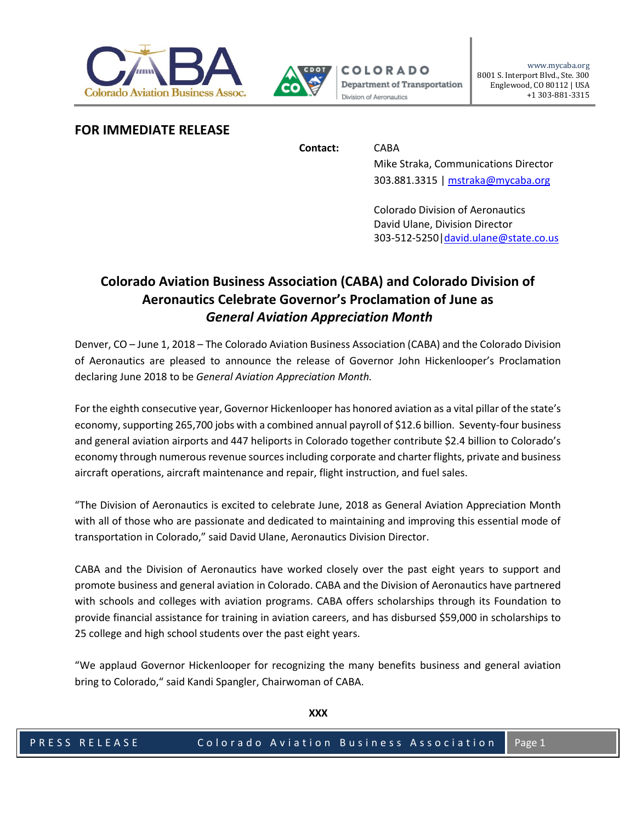



## **FOR IMMEDIATE RELEASE**

**Contact:** CABA

Mike Straka, Communications Director 303.881.3315 [| mstraka@mycaba.org](mailto:mstraka@mycaba.org)

Colorado Division of Aeronautics David Ulane, Division Director 303-512-5250[|david.ulane@state.co.us](mailto:david.ulane@state.co.us)

# **Colorado Aviation Business Association (CABA) and Colorado Division of Aeronautics Celebrate Governor's Proclamation of June as** *General Aviation Appreciation Month*

Denver, CO – June 1, 2018 – The Colorado Aviation Business Association (CABA) and the Colorado Division of Aeronautics are pleased to announce the release of Governor John Hickenlooper's Proclamation declaring June 2018 to be *General Aviation Appreciation Month.*

For the eighth consecutive year, Governor Hickenlooper has honored aviation as a vital pillar of the state's economy, supporting 265,700 jobs with a combined annual payroll of \$12.6 billion. Seventy-four business and general aviation airports and 447 heliports in Colorado together contribute \$2.4 billion to Colorado's economy through numerous revenue sources including corporate and charter flights, private and business aircraft operations, aircraft maintenance and repair, flight instruction, and fuel sales.

"The Division of Aeronautics is excited to celebrate June, 2018 as General Aviation Appreciation Month with all of those who are passionate and dedicated to maintaining and improving this essential mode of transportation in Colorado," said David Ulane, Aeronautics Division Director.

CABA and the Division of Aeronautics have worked closely over the past eight years to support and promote business and general aviation in Colorado. CABA and the Division of Aeronautics have partnered with schools and colleges with aviation programs. CABA offers scholarships through its Foundation to provide financial assistance for training in aviation careers, and has disbursed \$59,000 in scholarships to 25 college and high school students over the past eight years.

"We applaud Governor Hickenlooper for recognizing the many benefits business and general aviation bring to Colorado," said Kandi Spangler, Chairwoman of CABA.

**XXX**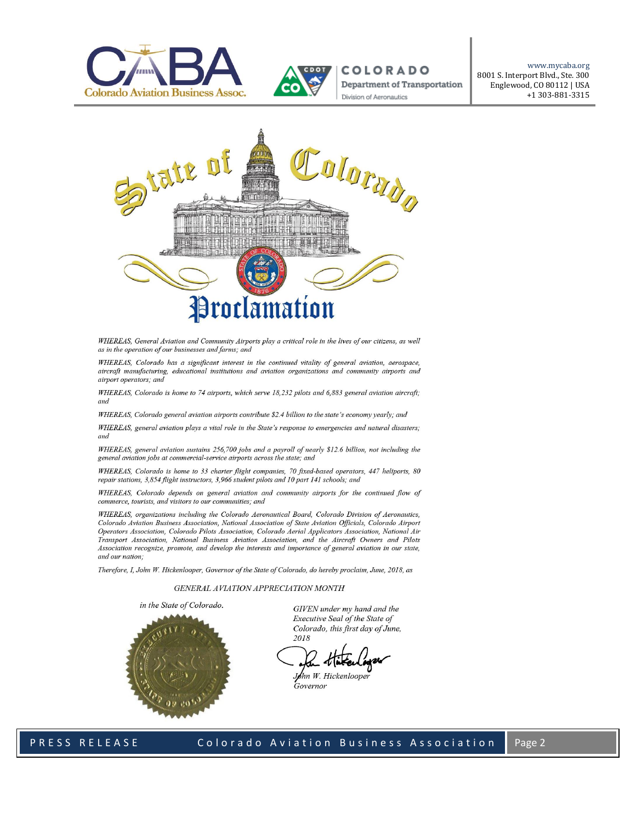



**COLORADO** Department of Transportation Division of Aeronautics

www.mycaba.org 8001 S. Interport Blvd., Ste. 300 Englewood, CO 80112 | USA +1 303-881-3315



WHEREAS, General Aviation and Community Airports play a critical role in the lives of our citizens, as well as in the operation of our businesses and farms: and

WHEREAS, Colorado has a significant interest in the continued vitality of general aviation, aerospace, aircraft manufacturing, educational institutions and aviation organizations and community airports and airport operators; and

WHEREAS, Colorado is home to 74 airports, which serve 18,232 pilots and 6,883 general aviation aircraft; and

WHEREAS, Colorado general aviation airports contribute \$2.4 billion to the state's economy yearly; and

WHEREAS, general aviation plays a vital role in the State's response to emergencies and natural disasters; and

WHEREAS, general aviation sustains 256,700 jobs and a payroll of nearly \$12.6 billion, not including the general aviation jobs at commercial-service airports across the state; and

WHEREAS, Colorado is home to 33 charter flight companies, 70 fixed-based operators, 447 heliports, 80 repair stations, 3,854 flight instructors, 3,966 student pilots and 10 part 141 schools; and

WHEREAS, Colorado depends on general aviation and community airports for the continued flow of commerce, tourists, and visitors to our communities; and

WHEREAS, organizations including the Colorado Aeronautical Board, Colorado Division of Aeronautics, Colorado Aviation Business Association, National Association of State Aviation Officials, Colorado Airport Operators Association, Colorado Pilots Association, Colorado Aerial Applicators Association, National Air Transport Association, National Business Aviation Association, and the Aircraft Owners and Pilots Association recognize, promote, and develop the interests and importance of general aviation in our state, and our nation;

Therefore, I, John W. Hickenlooper, Governor of the State of Colorado, do hereby proclaim, June, 2018, as

#### GENERAL AVIATION APPRECIATION MONTH



GIVEN under my hand and the Executive Seal of the State of Colorado, this first day of June, 2018

John W. Hickenlooper Governor